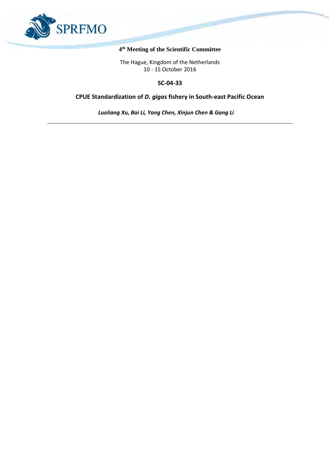

#### **4 th Meeting of the Scientific Committee**

The Hague, Kingdom of the Netherlands 10 - 15 October 2016

#### **SC-04-33**

# **CPUE Standardization of** *D. gigas* **fishery in South-east Pacific Ocean**

*Luoliang Xu, Bai Li, Yong Chen, Xinjun Chen & Gang Li*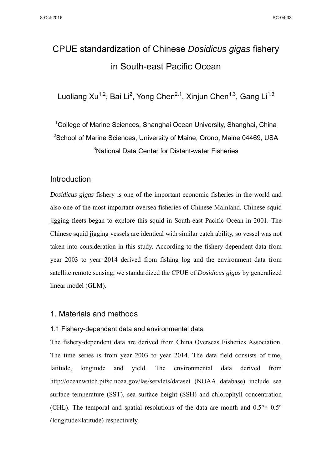# CPUE standardization of Chinese *Dosidicus gigas* fishery in South-east Pacific Ocean

Luoliang Xu<sup>1,2</sup>, Bai Li<sup>2</sup>, Yong Chen<sup>2,1</sup>, Xinjun Chen<sup>1,3</sup>, Gang Li<sup>1,3</sup>

<sup>1</sup>College of Marine Sciences, Shanghai Ocean University, Shanghai, China  $^{2}$ School of Marine Sciences, University of Maine, Orono, Maine 04469, USA 3 National Data Center for Distant-water Fisheries

## Introduction

*Dosidicus gigas* fishery is one of the important economic fisheries in the world and also one of the most important oversea fisheries of Chinese Mainland. Chinese squid jigging fleets began to explore this squid in South-east Pacific Ocean in 2001. The Chinese squid jigging vessels are identical with similar catch ability, so vessel was not taken into consideration in this study. According to the fishery-dependent data from year 2003 to year 2014 derived from fishing log and the environment data from satellite remote sensing, we standardized the CPUE of *Dosidicus gigas* by generalized linear model (GLM).

## 1. Materials and methods

#### 1.1 Fishery-dependent data and environmental data

The fishery-dependent data are derived from China Overseas Fisheries Association. The time series is from year 2003 to year 2014. The data field consists of time, latitude, longitude and yield. The environmental data derived from http://oceanwatch.pifsc.noaa.gov/las/servlets/dataset (NOAA database) include sea surface temperature (SST), sea surface height (SSH) and chlorophyll concentration (CHL). The temporal and spatial resolutions of the data are month and  $0.5^{\circ} \times 0.5^{\circ}$ (longitude×latitude) respectively.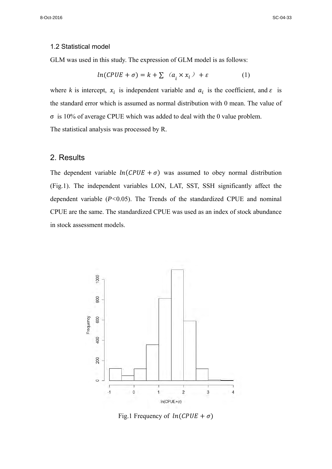#### 1.2 Statistical model

GLM was used in this study. The expression of GLM model is as follows:

$$
ln(CPUE + \sigma) = k + \sum_{i} (a_i \times x_i) + \varepsilon
$$
 (1)

where *k* is intercept,  $x_i$  is independent variable and  $a_i$  is the coefficient, and  $\varepsilon$  is the standard error which is assumed as normal distribution with 0 mean. The value of σ is 10% of average CPUE which was added to deal with the 0 value problem. The statistical analysis was processed by R.

#### 2. Results

The dependent variable  $ln(CPUE + \sigma)$  was assumed to obey normal distribution (Fig.1). The independent variables LON, LAT, SST, SSH significantly affect the dependent variable (*P<*0.05). The Trends of the standardized CPUE and nominal CPUE are the same. The standardized CPUE was used as an index of stock abundance in stock assessment models.



Fig.1 Frequency of  $ln(CPUE + \sigma)$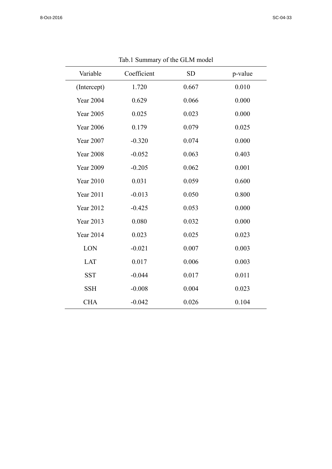| Variable         | Coefficient | <b>SD</b> | p-value |
|------------------|-------------|-----------|---------|
| (Intercept)      | 1.720       | 0.667     | 0.010   |
| <b>Year 2004</b> | 0.629       | 0.066     | 0.000   |
| <b>Year 2005</b> | 0.025       | 0.023     | 0.000   |
| <b>Year 2006</b> | 0.179       | 0.079     | 0.025   |
| <b>Year 2007</b> | $-0.320$    | 0.074     | 0.000   |
| <b>Year 2008</b> | $-0.052$    | 0.063     | 0.403   |
| <b>Year 2009</b> | $-0.205$    | 0.062     | 0.001   |
| <b>Year 2010</b> | 0.031       | 0.059     | 0.600   |
| <b>Year 2011</b> | $-0.013$    | 0.050     | 0.800   |
| <b>Year 2012</b> | $-0.425$    | 0.053     | 0.000   |
| <b>Year 2013</b> | 0.080       | 0.032     | 0.000   |
| <b>Year 2014</b> | 0.023       | 0.025     | 0.023   |
| LON              | $-0.021$    | 0.007     | 0.003   |
| <b>LAT</b>       | 0.017       | 0.006     | 0.003   |
| <b>SST</b>       | $-0.044$    | 0.017     | 0.011   |
| <b>SSH</b>       | $-0.008$    | 0.004     | 0.023   |
| <b>CHA</b>       | $-0.042$    | 0.026     | 0.104   |

Tab.1 Summary of the GLM model